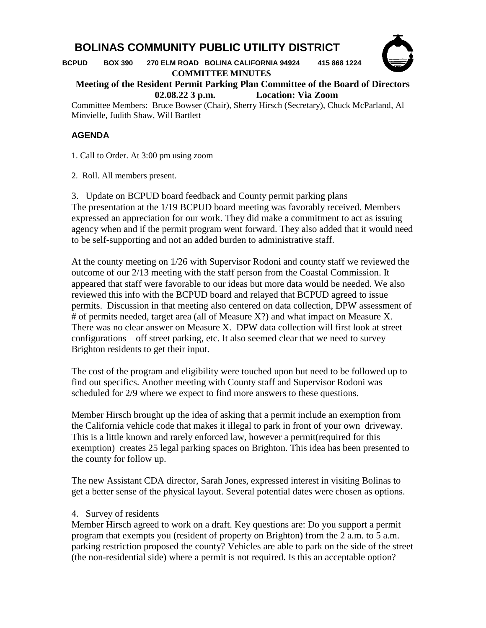## **BOLINAS COMMUNITY PUBLIC UTILITY DISTRICT**

 **BCPUD BOX 390 270 ELM ROAD BOLINA CALIFORNIA 94924 415 868 1224 COMMITTEE MINUTES**



**Meeting of the Resident Permit Parking Plan Committee of the Board of Directors 02.08.22 3 p.m. Location: Via Zoom**

Committee Members: Bruce Bowser (Chair), Sherry Hirsch (Secretary), Chuck McParland, Al Minvielle, Judith Shaw, Will Bartlett

## **AGENDA**

1. Call to Order. At 3:00 pm using zoom

2. Roll. All members present.

3. Update on BCPUD board feedback and County permit parking plans The presentation at the 1/19 BCPUD board meeting was favorably received. Members expressed an appreciation for our work. They did make a commitment to act as issuing agency when and if the permit program went forward. They also added that it would need to be self-supporting and not an added burden to administrative staff.

At the county meeting on 1/26 with Supervisor Rodoni and county staff we reviewed the outcome of our 2/13 meeting with the staff person from the Coastal Commission. It appeared that staff were favorable to our ideas but more data would be needed. We also reviewed this info with the BCPUD board and relayed that BCPUD agreed to issue permits. Discussion in that meeting also centered on data collection, DPW assessment of # of permits needed, target area (all of Measure X?) and what impact on Measure X. There was no clear answer on Measure X. DPW data collection will first look at street configurations – off street parking, etc. It also seemed clear that we need to survey Brighton residents to get their input.

The cost of the program and eligibility were touched upon but need to be followed up to find out specifics. Another meeting with County staff and Supervisor Rodoni was scheduled for 2/9 where we expect to find more answers to these questions.

Member Hirsch brought up the idea of asking that a permit include an exemption from the California vehicle code that makes it illegal to park in front of your own driveway. This is a little known and rarely enforced law, however a permit(required for this exemption) creates 25 legal parking spaces on Brighton. This idea has been presented to the county for follow up.

The new Assistant CDA director, Sarah Jones, expressed interest in visiting Bolinas to get a better sense of the physical layout. Several potential dates were chosen as options.

## 4. Survey of residents

Member Hirsch agreed to work on a draft. Key questions are: Do you support a permit program that exempts you (resident of property on Brighton) from the 2 a.m. to 5 a.m. parking restriction proposed the county? Vehicles are able to park on the side of the street (the non-residential side) where a permit is not required. Is this an acceptable option?